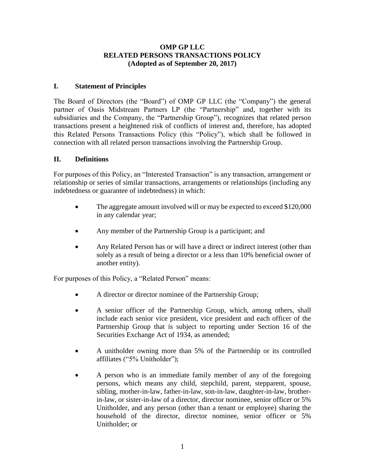#### **OMP GP LLC RELATED PERSONS TRANSACTIONS POLICY (Adopted as of September 20, 2017)**

### **I. Statement of Principles**

The Board of Directors (the "Board") of OMP GP LLC (the "Company") the general partner of Oasis Midstream Partners LP (the "Partnership" and, together with its subsidiaries and the Company, the "Partnership Group"), recognizes that related person transactions present a heightened risk of conflicts of interest and, therefore, has adopted this Related Persons Transactions Policy (this "Policy"), which shall be followed in connection with all related person transactions involving the Partnership Group.

# **II. Definitions**

For purposes of this Policy, an "Interested Transaction" is any transaction, arrangement or relationship or series of similar transactions, arrangements or relationships (including any indebtedness or guarantee of indebtedness) in which:

- The aggregate amount involved will or may be expected to exceed \$120,000 in any calendar year;
- Any member of the Partnership Group is a participant; and
- Any Related Person has or will have a direct or indirect interest (other than solely as a result of being a director or a less than 10% beneficial owner of another entity).

For purposes of this Policy, a "Related Person" means:

- A director or director nominee of the Partnership Group;
- A senior officer of the Partnership Group, which, among others, shall include each senior vice president, vice president and each officer of the Partnership Group that is subject to reporting under Section 16 of the Securities Exchange Act of 1934, as amended;
- A unitholder owning more than 5% of the Partnership or its controlled affiliates ("5% Unitholder");
- A person who is an immediate family member of any of the foregoing persons, which means any child, stepchild, parent, stepparent, spouse, sibling, mother-in-law, father-in-law, son-in-law, daughter-in-law, brotherin-law, or sister-in-law of a director, director nominee, senior officer or 5% Unitholder, and any person (other than a tenant or employee) sharing the household of the director, director nominee, senior officer or 5% Unitholder; or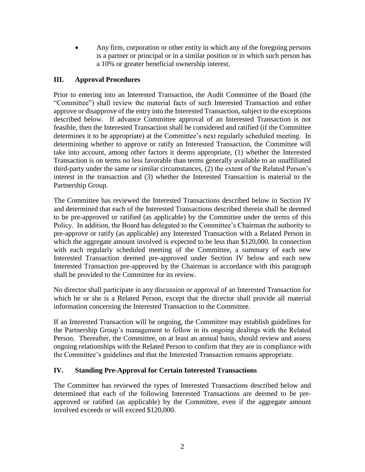Any firm, corporation or other entity in which any of the foregoing persons is a partner or principal or in a similar position or in which such person has a 10% or greater beneficial ownership interest.

# **III. Approval Procedures**

Prior to entering into an Interested Transaction, the Audit Committee of the Board (the "Committee") shall review the material facts of such Interested Transaction and either approve or disapprove of the entry into the Interested Transaction, subject to the exceptions described below. If advance Committee approval of an Interested Transaction is not feasible, then the Interested Transaction shall be considered and ratified (if the Committee determines it to be appropriate) at the Committee's next regularly scheduled meeting. In determining whether to approve or ratify an Interested Transaction, the Committee will take into account, among other factors it deems appropriate, (1) whether the Interested Transaction is on terms no less favorable than terms generally available to an unaffiliated third-party under the same or similar circumstances, (2) the extent of the Related Person's interest in the transaction and (3) whether the Interested Transaction is material to the Partnership Group.

The Committee has reviewed the Interested Transactions described below in Section IV and determined that each of the Interested Transactions described therein shall be deemed to be pre-approved or ratified (as applicable) by the Committee under the terms of this Policy. In addition, the Board has delegated to the Committee's Chairman the authority to pre-approve or ratify (as applicable) any Interested Transaction with a Related Person in which the aggregate amount involved is expected to be less than \$120,000. In connection with each regularly scheduled meeting of the Committee, a summary of each new Interested Transaction deemed pre-approved under Section IV below and each new Interested Transaction pre-approved by the Chairman in accordance with this paragraph shall be provided to the Committee for its review.

No director shall participate in any discussion or approval of an Interested Transaction for which he or she is a Related Person, except that the director shall provide all material information concerning the Interested Transaction to the Committee.

If an Interested Transaction will be ongoing, the Committee may establish guidelines for the Partnership Group's management to follow in its ongoing dealings with the Related Person. Thereafter, the Committee, on at least an annual basis, should review and assess ongoing relationships with the Related Person to confirm that they are in compliance with the Committee's guidelines and that the Interested Transaction remains appropriate.

### **IV. Standing Pre-Approval for Certain Interested Transactions**

The Committee has reviewed the types of Interested Transactions described below and determined that each of the following Interested Transactions are deemed to be preapproved or ratified (as applicable) by the Committee, even if the aggregate amount involved exceeds or will exceed \$120,000.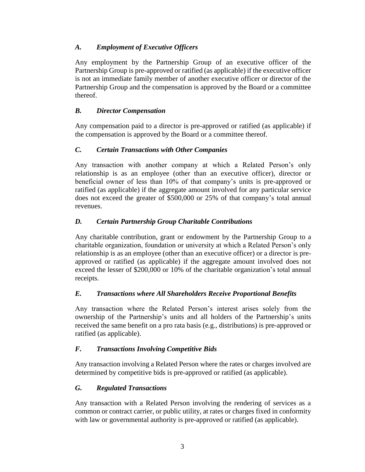# *A. Employment of Executive Officers*

Any employment by the Partnership Group of an executive officer of the Partnership Group is pre-approved or ratified (as applicable) if the executive officer is not an immediate family member of another executive officer or director of the Partnership Group and the compensation is approved by the Board or a committee thereof.

### *B. Director Compensation*

Any compensation paid to a director is pre-approved or ratified (as applicable) if the compensation is approved by the Board or a committee thereof.

# *C. Certain Transactions with Other Companies*

Any transaction with another company at which a Related Person's only relationship is as an employee (other than an executive officer), director or beneficial owner of less than 10% of that company's units is pre-approved or ratified (as applicable) if the aggregate amount involved for any particular service does not exceed the greater of \$500,000 or 25% of that company's total annual revenues.

# *D. Certain Partnership Group Charitable Contributions*

Any charitable contribution, grant or endowment by the Partnership Group to a charitable organization, foundation or university at which a Related Person's only relationship is as an employee (other than an executive officer) or a director is preapproved or ratified (as applicable) if the aggregate amount involved does not exceed the lesser of \$200,000 or 10% of the charitable organization's total annual receipts.

### *E. Transactions where All Shareholders Receive Proportional Benefits*

Any transaction where the Related Person's interest arises solely from the ownership of the Partnership's units and all holders of the Partnership's units received the same benefit on a pro rata basis (e.g., distributions) is pre-approved or ratified (as applicable).

### *F. Transactions Involving Competitive Bids*

Any transaction involving a Related Person where the rates or charges involved are determined by competitive bids is pre-approved or ratified (as applicable).

### *G. Regulated Transactions*

Any transaction with a Related Person involving the rendering of services as a common or contract carrier, or public utility, at rates or charges fixed in conformity with law or governmental authority is pre-approved or ratified (as applicable).